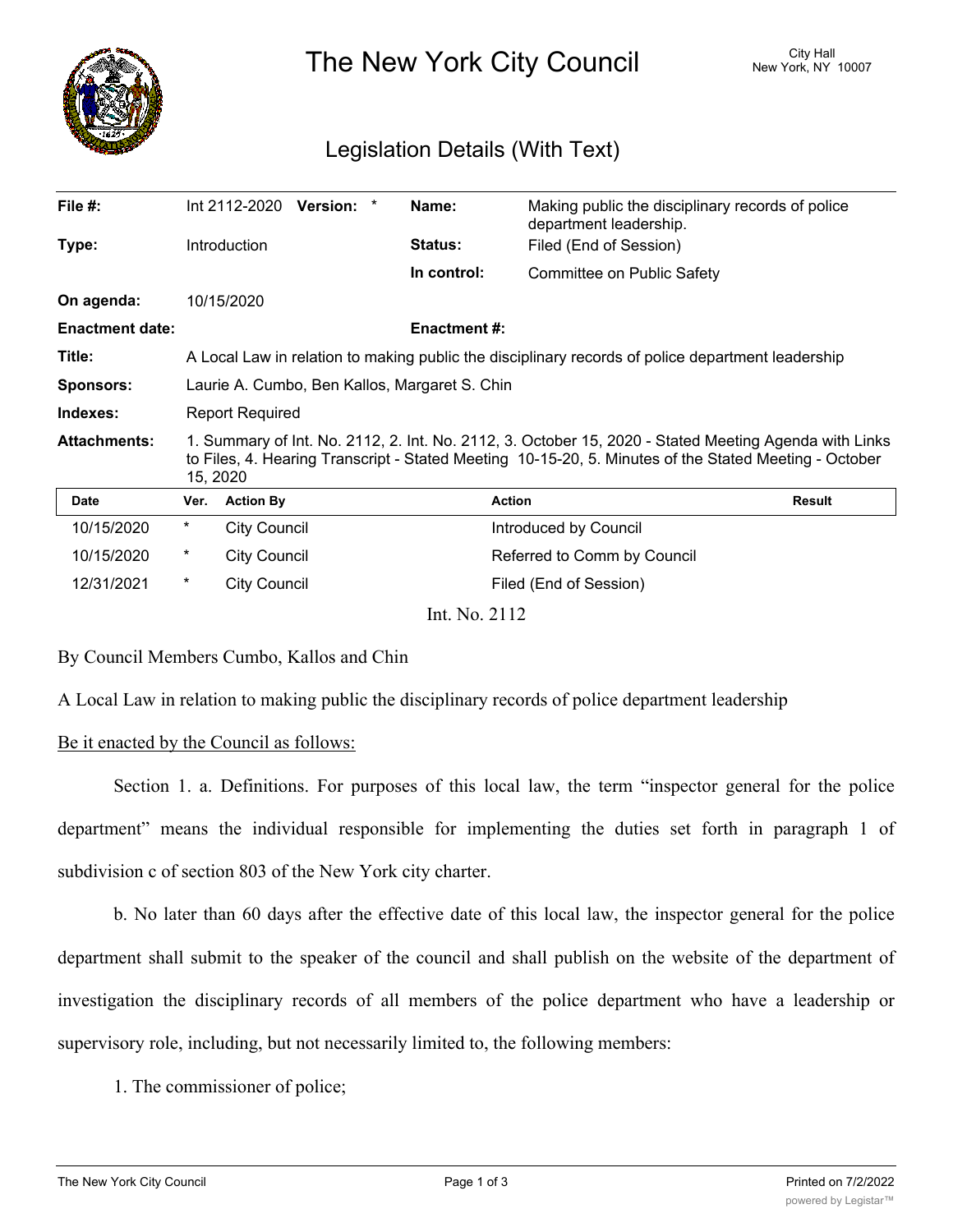

The New York City Council New York, NY 10007

## Legislation Details (With Text)

| File #:                |                                                                                                                                                                                                                            | Int 2112-2020       | <b>Version:</b> |  | Name:               | Making public the disciplinary records of police<br>department leadership. |               |  |
|------------------------|----------------------------------------------------------------------------------------------------------------------------------------------------------------------------------------------------------------------------|---------------------|-----------------|--|---------------------|----------------------------------------------------------------------------|---------------|--|
| Type:                  | Introduction                                                                                                                                                                                                               |                     |                 |  | <b>Status:</b>      | Filed (End of Session)                                                     |               |  |
|                        |                                                                                                                                                                                                                            |                     |                 |  | In control:         | Committee on Public Safety                                                 |               |  |
| On agenda:             |                                                                                                                                                                                                                            | 10/15/2020          |                 |  |                     |                                                                            |               |  |
| <b>Enactment date:</b> |                                                                                                                                                                                                                            |                     |                 |  | <b>Enactment #:</b> |                                                                            |               |  |
| Title:                 | A Local Law in relation to making public the disciplinary records of police department leadership                                                                                                                          |                     |                 |  |                     |                                                                            |               |  |
| <b>Sponsors:</b>       | Laurie A. Cumbo, Ben Kallos, Margaret S. Chin                                                                                                                                                                              |                     |                 |  |                     |                                                                            |               |  |
| Indexes:               | <b>Report Required</b>                                                                                                                                                                                                     |                     |                 |  |                     |                                                                            |               |  |
| <b>Attachments:</b>    | 1. Summary of Int. No. 2112, 2. Int. No. 2112, 3. October 15, 2020 - Stated Meeting Agenda with Links<br>to Files, 4. Hearing Transcript - Stated Meeting 10-15-20, 5. Minutes of the Stated Meeting - October<br>15, 2020 |                     |                 |  |                     |                                                                            |               |  |
| <b>Date</b>            | Ver.                                                                                                                                                                                                                       | <b>Action By</b>    |                 |  |                     | <b>Action</b>                                                              | <b>Result</b> |  |
| 10/15/2020             | *                                                                                                                                                                                                                          | <b>City Council</b> |                 |  |                     | Introduced by Council                                                      |               |  |
| 10/15/2020             | $^\star$                                                                                                                                                                                                                   | <b>City Council</b> |                 |  |                     | Referred to Comm by Council                                                |               |  |
| 12/31/2021             | $^\star$                                                                                                                                                                                                                   | <b>City Council</b> |                 |  |                     | Filed (End of Session)                                                     |               |  |
|                        |                                                                                                                                                                                                                            |                     |                 |  | Int. No. 2112       |                                                                            |               |  |

## By Council Members Cumbo, Kallos and Chin

A Local Law in relation to making public the disciplinary records of police department leadership

## Be it enacted by the Council as follows:

Section 1. a. Definitions. For purposes of this local law, the term "inspector general for the police department" means the individual responsible for implementing the duties set forth in paragraph 1 of subdivision c of section 803 of the New York city charter.

b. No later than 60 days after the effective date of this local law, the inspector general for the police department shall submit to the speaker of the council and shall publish on the website of the department of investigation the disciplinary records of all members of the police department who have a leadership or supervisory role, including, but not necessarily limited to, the following members:

1. The commissioner of police;